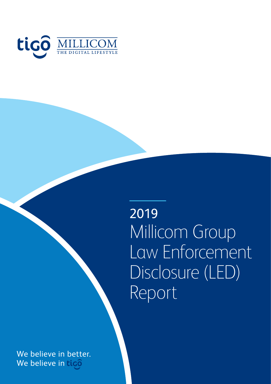

2019 Millicom Group Law Enforcement Disclosure (LED) Report

We believe in better. We believe in tico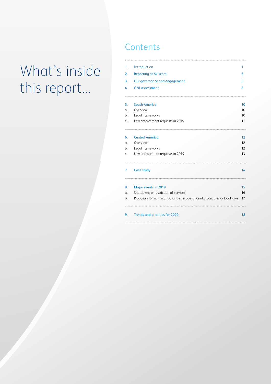# What's inside this report...

# **Contents**

| $\mathbf{1}$ . | Introduction                                                              | 1  |
|----------------|---------------------------------------------------------------------------|----|
| 2.             | <b>Reporting at Millicom</b>                                              | З  |
| 3.             | Our governance and engagement                                             | 5  |
| 4.             | <b>GNI Assessment</b>                                                     | 8  |
| 5.             | <b>South America</b>                                                      | 10 |
| α.             | Overview                                                                  | 10 |
| b.             | Legal frameworks                                                          | 10 |
| C.             | Law enforcement requests in 2019                                          | 11 |
| 6.             | <b>Central America</b>                                                    | 12 |
| α.             | Overview                                                                  | 12 |
| b.             | Legal frameworks                                                          | 12 |
| C.             | Law enforcement requests in 2019                                          | 13 |
| 7.             | Case study                                                                | 14 |
| 8.             | Major events in 2019                                                      | 15 |
| α.             | Shutdowns or restriction of services                                      | 16 |
| b.             | Proposals for significant changes in operational procedures or local laws | 17 |
| 9.             | Trends and priorities for 2020                                            | 18 |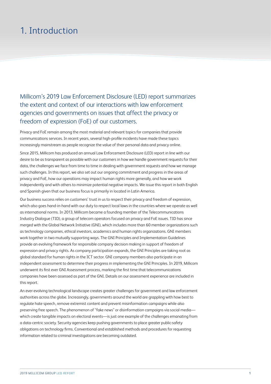# 1. Introduction

Millicom's 2019 Law Enforcement Disclosure (LED) report summarizes the extent and context of our interactions with law enforcement agencies and governments on issues that affect the privacy or freedom of expression (FoE) of our customers.

Privacy and FoE remain among the most material and relevant topics for companies that provide communications services. In recent years, several high-profile incidents have made these topics increasingly mainstream as people recognize the value of their personal data and privacy online.

Since 2015, Millicom has produced an annual Law Enforcement Disclosure (LED) report in line with our desire to be as transparent as possible with our customers in how we handle government requests for their data, the challenges we face from time to time in dealing with government requests and how we manage such challenges. In this report, we also set out our ongoing commitment and progress in the areas of privacy and FoE, how our operations may impact human rights more generally, and how we work independently and with others to minimize potential negative impacts. We issue this report in both English and Spanish given that our business focus is primarily in located in Latin America.

Our business success relies on customers' trust in us to respect their privacy and freedom of expression, which also goes hand-in-hand with our duty to respect local laws in the countries where we operate as well as international norms. In 2013, Millicom became a founding member of the Telecommunications Industry Dialogue (TID), a group of telecom operators focused on privacy and FoE issues. TID has since merged with the Global Network Initiative (GNI), which includes more than 60 member organizations such as technology companies, ethical investors, academics and human rights organizations. GNI members work together in two mutually supporting ways. The GNI Principles and Implementation Guidelines provide an evolving framework for responsible company decision making in support of freedom of expression and privacy rights. As company participation expands, the GNI Principles are taking root as global standard for human rights in the ICT sector. GNI company members also participate in an independent assessment to determine their progress in implementing the GNI Principles. In 2019, Millicom underwent its first ever GNI Assessment process, marking the first time that telecommunications companies have been assessed as part of the GNI. Details on our assessment experience are included in this report.

An ever-evolving technological landscape creates greater challenges for government and law enforcement authorities across the globe. Increasingly, governments around the world are grappling with how best to regulate hate speech, remove extremist content and prevent misinformation campaigns while also preserving free speech. The phenomenon of "fake news" or disinformation campaigns via social media which create tangible impacts on electoral events—is just one example of the challenges emanating from a data-centric society. Security agencies keep pushing governments to place greater public-safety obligations on technology firms. Conventional and established methods and procedures for requesting information related to criminal investigations are becoming outdated.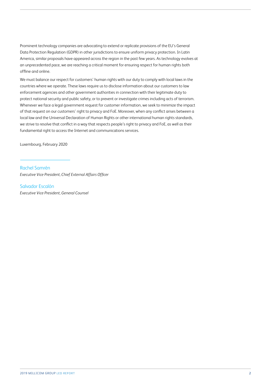Prominent technology companies are advocating to extend or replicate provisions of the EU's General Data Protection Regulation (GDPR) in other jurisdictions to ensure uniform privacy protection. In Latin America, similar proposals have appeared across the region in the past few years. As technology evolves at an unprecedented pace, we are reaching a critical moment for ensuring respect for human rights both offline and online.

We must balance our respect for customers' human rights with our duty to comply with local laws in the countries where we operate. These laws require us to disclose information about our customers to law enforcement agencies and other government authorities in connection with their legitimate duty to protect national security and public safety, or to prevent or investigate crimes including acts of terrorism. Whenever we face a legal government request for customer information, we seek to minimize the impact of that request on our customers' right to privacy and FoE. Moreover, when any conflict arises between a local law and the Universal Declaration of Human Rights or other international human rights standards, we strive to resolve that conflict in a way that respects people's right to privacy and FoE, as well as their fundamental right to access the Internet and communications services.

Luxembourg, February 2020

Rachel Samrén *Executive Vice President, Chief External Affairs Officer*

Salvador Escalón *Executive Vice President, General Counsel*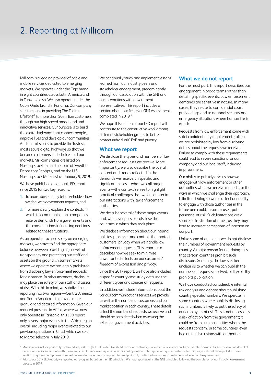# 2. Reporting at Millicom

Millicom is a leading provider of cable and mobile services dedicated to emerging markets. We operate under the Tigo brand in eight countries across Latin America and in Tanzania also. We also operate under the Cable Onda brand in Panama. Our company sets the pace in providing The Digital Lifestyle® to more than 50 million customers through our high-speed broadband and innovative services. Our purpose is to build the digital highways that connect people, improve lives and develop our communities. And our mission is to provide the fastest, most secure digital highways so that we become customers' first choice in all our markets. Millicom shares are listed on Nasdaq Stockholm in the form of Swedish Depository Receipts, and on the U.S. Nasdaq Stock Market since January 9, 2019.

We have published an annual LED report since 2015 for two key reasons:

- 1. To more transparently tell stakeholders how we deal with government requests, and
- 2. To more clearly explain the contexts in which telecommunications companies receive demands from governments and the considerations influencing decisions related to these situations.

As an operator focused solely on emerging markets, we strive to find the appropriate balance between providing high levels of transparency and protecting our staff and assets on the ground. In some markets where we operate, we are legally prohibited from disclosing law enforcement requests for assistance. In other instances, disclosure may place the safety of our staff and assets at risk. With this in mind, we subdivide our reporting into two regions—Central America and South America—to provide more granular and detailed information. Given our reduced presence in Africa, where we now only operate in Tanzania, this LED report only covers major events<sup>1</sup> in the Africa region overall, including major events related to our previous operations in Chad, which we sold to Maroc Telecom in July 2019.

We continually study and implement lessons learned from our industry peers and stakeholder engagement, predominantly through our association with the GNI and our interactions with government representatives. This report includes a section about our first-ever GNI Assessment completed in 2019.<sup>2</sup>

We hope this edition of our LED report will contribute to the constructive work among different stakeholder groups to better protect individuals' FoE and privacy.

#### **What we report**

We disclose the types and numbers of law enforcement requests we receive. More importantly, we also describe the overall context and trends reflected in the demands we receive. In specific and significant cases—what we call major events—the context serves to highlight practical challenges that we encounter in our interactions with law enforcement authorities.

We describe several of these major events and, whenever possible, disclose the countries in which they took place.

We disclose information about our internal policies, processes and controls that protect customers' privacy when we handle law enforcement requests. This report also describes how we seek to minimize unwarranted effects on our customers' freedom of expression and privacy.

Since the 2017 report, we have also included a specific country case study detailing the different types and sources of requests.

In addition, we include information about the various communications services we provide as well as the number of customers and our market position in each country. These details affect the number of requests we receive and should be considered when assessing the extent of government activities.

#### **What we do not report**

For the most part, this report describes our engagement in broad terms rather than detailing specific events. Law enforcement demands are sensitive in nature. In many cases, they relate to confidential court proceedings and to national security and emergency situations where human life is at risk.

Requests from law enforcement come with strict confidentiality requirements; often, we are prohibited by law from disclosing details about the requests we receive. Failure to comply with these requirements could lead to severe sanctions for our company and our local staff, including imprisonment.

Our ability to publicly discuss how we engage with law enforcement or other authorities when we receive requests, or the ways in which we challenge their approach, is limited. Doing so would affect our ability to engage with those authorities in the future and could, in some cases, put personnel at risk. Such limitations are a source of frustration at times, as they may lead to incorrect perceptions of inaction on our part.

Unlike some of our peers, we do not disclose the numbers of government requests by country. A major reason for not doing so is that certain countries prohibit such disclosure. Generally, the law is either unclear as to whether we can publish the numbers of requests received, or it explicitly prohibits publication.

We have conducted considerable internal risk analysis and debate about publishing country-specific numbers. We operate in some countries where publicly disclosing such numbers is likely to put the safety of our employees at risk. This is not necessarily a risk of action from the government; it could be from criminal entities whom the requests concern. In some countries, even beginning discussions with authorities

 $^{\rm 1}$  Major events include politically motivated requests for (but not limited to): shutdown of our network, service denial or restriction, targeted take-down or blocking of content, denial of access for specific individuals with the intent to limit freedom of expression, significant operational changes relating to surveillance techniques, significant changes to local laws relating to government powers of surveillance or data retention, or requests to send politically motivated messages to customers on behalf of the government.  $^2$  Prior to our 2017 LED report, we reported our progress based on the TID principles. We now report against the GNI principles, following the completion of our first GNI Assessment

process in 2019.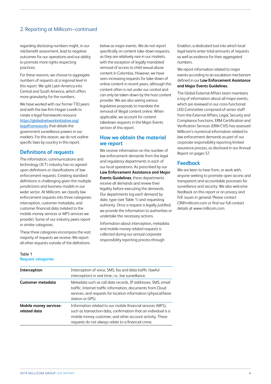# 2. Reporting at Millicom–continued

regarding disclosing numbers might, in our risk/benefit assessment, lead to negative outcomes for our operations and our ability to promote more rights-respecting practices.

For these reasons, we choose to aggregate numbers of requests at a regional level in this report. We split Latin America into Central and South America, which offers more granularity for the numbers.

We have worked with our former TID peers and with the law firm Hogan Lovells to create a [legal frameworks resource](http://www.millicom.com)  [https://globalnetworkinitiative.org/](https://globalnetworkinitiative.org/legalframeworks) [legalframeworks](https://globalnetworkinitiative.org/legalframeworks) that details the government surveillance powers in our markets. For this reason, we do not outline specific laws by country in this report.

#### **Definitions of requests**

The information, communications and technology (ICT) industry has no agreedupon definitions or classifications of law enforcement requests. Creating standard definitions is challenging given the multiple jurisdictions and business models in our wider sector. At Millicom, we classify law enforcement requests into three categories: interception, customer metadata, and customer financial data (related to the mobile money services or MFS services we provide). Some of our industry peers report in similar categories.

These three categories encompass the vast majority of requests we receive. We report all other requests outside of the definitions

below as major events. We do not report specifically on content take-down requests, as they are relatively rare in our markets, with the exception of legally mandated removal of access to child sexual abuse content in Colombia. However, we have seen increasing requests for take-down of online content in recent years, although this content often is not under our control and can only be taken down by the host content provider. We are also seeing various legislative proposals to mandate the removal of illegal content online. When applicable, we account for content takedown requests in the Major Events section of this report.

# **How we obtain the material we report**

We receive information on the number of law enforcement demands from the legal and regulatory departments in each of our local operations. As prescribed by our **Law Enforcement Assistance and Major Events Guidelines**, these departments receive all demands and review their legality before executing the demands. Our departments log each demand by date, type (see Table 1) and requesting authority. Once a request is legally justified, we provide the information to authorities or undertake the necessary actions.

Information about interception, metadata and mobile money-related requests is collected during our annual corporate responsibility reporting process through

Enablon, a dedicated tool into which local legal teams enter total amounts of requests as well as evidence for their aggregated numbers.

We report information related to major events according to an escalation mechanism defined in our **Law Enforcement Assistance and Major Events Guidelines.**

The Global External Affairs team maintains a log of information about all major events, which are reviewed in our cross-functional LED Committee comprised of senior staff from the External Affairs, Legal, Security and Compliance functions. ERM Certification and Verification Services (ERM CVS) has assessed Millicom's numerical information related to law enforcement demands as part of our corporate responsibility reporting limited assurance process, as disclosed in our Annual Report on pages 57.

#### **Feedback**

We are keen to hear from, or work with, anyone seeking to promote open access and transparent and accountable processes for surveillance and security. We also welcome feedback on this report or on privacy and FoE issues in general. Please contact CR@millicom.com or find our full contact details at [www.millicom.com](http://www.millicom.com).

#### Table 1 **Request categories**

| Interception                           | Interception of voice, SMS, fax and data traffic (lawful<br>interception) in real time; i.e., live surveillance.                                                                                                                                 |
|----------------------------------------|--------------------------------------------------------------------------------------------------------------------------------------------------------------------------------------------------------------------------------------------------|
| Customer metadata                      | Metadata such as call data records, IP addresses, SMS, email<br>traffic, Internet traffic information, documents from Cloud<br>services, and requests for location information (physical/base<br>station or GPS).                                |
| Mobile money services-<br>related data | Information related to our mobile financial services (MFS).<br>such as transaction data, confirmation that an individual is a<br>mobile money customer, and other account activity. These<br>requests do not always relate to a financial crime. |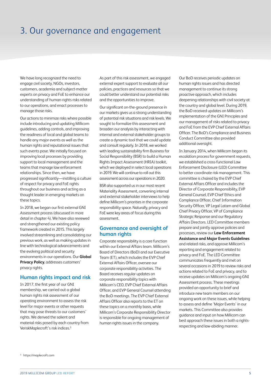We have long recognized the need to engage civil society, NGOs, investors, customers, academia and subject-matter experts on privacy and FoE to enhance our understanding of human-rights risks related to our operations, and enact processes to manage those risks.

Our actions to minimize risks where possible include introducing and updating Millicom guidelines, adding controls, and improving the readiness of local and global teams to handle any major events as well as the human rights and reputational issues that such events pose. We initially focused on improving local processes by providing support to local management and the teams that manage law enforcement relationships. Since then, we have progressed significantly—instilling a culture of respect for privacy and FoE rights throughout our business and acting as a thought leader in emerging markets on these topics.

In 2018, we began our first external GNI Assessment process (discussed in more detail in chapter 4). We have also reviewed and strengthened our existing policy framework created in 2015. This largely involved streamlining and consolidating our previous work, as well as making updates in line with technological advancements and the evolving political and security environments in our operations. Our **Global Privacy Policy**, addresses customers' privacy rights.

# **Human rights impact and risk**

In 2017, the first year of our GNI membership, we carried out a global human rights risk assessment of our operating environment to assess the risk level for major events or other requests that may pose threats to our customers' rights. We derived the salient and material risks posed by each country from VeriskMaplecroft's risk indices.3

As part of this risk assessment, we engaged external expert support to evaluate all our policies, practices and resources so that we could better understand our potential risks and the opportunities to improve.

Our significant on-the-ground presence in our markets gives us a strong understanding of potential risk situations and risk levels. We sought to formalize this assessment and broaden our analysis by interacting with internal and external stakeholder groups to create a dynamic tool that we could update and consult regularly. In 2018, we worked with leading sustainability firm Business for Social Responsibility (BSR) to build a Human Rights Impact Assessment (HRIA) toolkit, which we deployed in select local operations in 2019. We will continue to roll out this assessment across our operations in 2020.

BSR also supported us in our most recent Materiality Assessment, convening internal and external stakeholder interviews to help define Millicom's priorities in the corporate responsibility space. Naturally, privacy and FoE were key areas of focus during this assessment.

# **Governance and oversight of human rights**

Corporate responsibility is a core function within our External Affairs team. Millicom's Board of Directors (BoD) and our Executive Team (ET), which includes the EVP Chief External Affairs Officer, oversee our corporate responsibility activities. The Board receives regular updates on corporate responsibility topics with Millicom's CEO, EVP Chief External Affairs Officer, and EVP General Counsel attending the BoD meetings. The EVP Chief External Affairs Officer also reports to the ET on these topics on a monthly basis, while Millicom's Corporate Responsibility Director is responsible for ongoing management of human rights issues in the company.

Our BoD receives periodic updates on human rights issues and has directed management to continue its strong proactive approach, which includes deepening relationships with civil society at the country and global level. During 2019, the BoD received updates on Millicom's implementation of the GNI Principles and our management of risks related to privacy and FoE from the EVP Chief External Affairs Officer. The BoD's Compliance and Business Conduct Committee also provided additional oversight.

In January 2014, when Millicom began its escalation process for government requests, we established a cross-functional Law Enforcement Disclosure (LED) Committee to better coordinate risk management. This committee is chaired by the EVP Chief External Affairs Officer and includes the Director of Corporate Responsibility, EVP General Counsel, EVP Chief Ethics and Compliance Officer, Chief Information Security Officer, VP Legal Latam and Global Chief Privacy Officer, VP of Compliance Strategic Response and our Regulatory Affairs Directors. LED Committee members prepare and jointly approve policies and processes, review our **Law Enforcement Assistance and Major Events Guidelines** and related risks, and approve Millicom's reporting and engagement related to privacy and FoE. The LED Committee communicates frequently and met on several occasions in 2019 to review risks and actions related to FoE and privacy, and to receive updates on Millicom's ongoing GNI Assessment process. These meetings provided an opportunity to brief and introduce new team members on our ongoing work on these issues, while helping to assess and define 'Major Events' in our markets. This Committee also provides guidance and input on how Millicom can best approach these issues in both a rightsrespecting and law-abiding manner.

3 https://maplecroft.com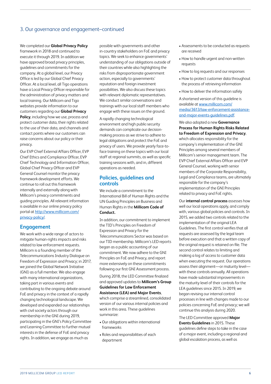# 3. Our governance and engagement–continued

We completed our **Global Privacy Policy**  framework in 2018 and continued to execute it through 2019. In addition we have approved broad privacy principles, guidelines and commitments for the company. At a global level, our Privacy Office is led by our Global Chief Privacy Officer. At a local level, all Tigo operations have a Local Privacy Officer responsible for the administration of privacy matters and local training. Our Millicom and Tigo websites provide information to our customers regarding our **Global Privacy Policy**, including how we use, process and protect customer data, their rights related to the use of their data, and channels and contact points where our customers can raise concerns about our policy or their privacy.

Our EVP Chief External Affairs Officer, EVP Chief Ethics and Compliance Officer, EVP Chief Technology and Information Officer, Global Chief Privacy Officer and EVP General Counsel monitor the privacy framework development efforts. We continue to roll out this framework internally and externally along with Millicom's privacy commitments and guiding principles. All relevant information is available in our online privacy policy portal at [http://www.millicom.com/](http://www.millicom.com/privacy-policy/) [privacy-policy/](http://www.millicom.com/privacy-policy/).

# **Engagement**

We work with a wide range of actors to mitigate human-rights impacts and risks related to law enforcement requests. Millicom is a founding member of the Telecommunications Industry Dialogue on Freedom of Expression and Privacy; in 2017, we joined the Global Network Initiative (GNI) as a full member. We also engage with many international organizations. taking part in various events and contributing to the ongoing debate around FoE and privacy in the context of a rapidly changing technological landscape. We developed and expanded our relationships with civil society actors through our membership in the GNI during 2019, participating in the GNI's Policy Committee and Learning Committee to further mutual interests in the defense of FoE and privacy rights. In addition, we engage as much as

possible with governments and other in-country stakeholders on FoE and privacy topics. We seek to enhance governments' understanding of our obligations outside of their countries while also highlighting the risks from disproportionate government action, especially to governments' reputation and foreign investment possibilities. We also discuss these topics with relevant diplomatic representatives. We conduct similar conversations and trainings with our local staff members who engage with these issues on the ground.

A rapidly changing technological environment and high public-security demands can complicate our decisionmaking process as we strive to adhere to legal obligations and protect the FoE and privacy of users. We provide yearly face-toface training on these topics with our local staff at regional summits, as well as specific training sessions with, and in, different operations as needed.

#### **Policies, guidelines and controls**

We include a commitment to the International Bill of Human Rights and the UN Guiding Principles on Business and Human Rights in the **Millicom Code of Conduct.**

In addition, our commitment to implement the TID's Principles on Freedom of Expression and Privacy for the Telecommunications Sector was based on our TID membership. Millicom's LED reports began as a public accounting of our commitment. We now adhere to the GNI Principles on FoE and Privacy, and report more extensively on these commitments following our first GNI Assessment process.

During 2018, the LED Committee finalized and approved updates to **Millicom's Group Guidelines for Law Enforcement Assistance (LEA) and Major Events**, which comprise a streamlined, consolidated version of our various internal policies and work in this area. These guidelines summarize:

- Our obligations within international frameworks
- Roles and responsibilities of each department
- Assessments to be conducted as requests are received
- How to handle urgent and non-written requests
- How to log requests and our responses
- How to protect customer data throughout the process of retrieving information
- How to deliver the information safely

A shortened version of this guideline is available at [www.millicom.com/](www.millicom.com/media/3613/law-enforcement-assistance-and-major-events-guidelines.pdf) [media/3613/law-enforcement-assistance](www.millicom.com/media/3613/law-enforcement-assistance-and-major-events-guidelines.pdf)[and-major-events-guidelines.pdf](www.millicom.com/media/3613/law-enforcement-assistance-and-major-events-guidelines.pdf).

We also adopted a new **Governance Process for Human Rights Risks Related to Freedom of Expression and Privacy**, which allocates responsibility for the company's implementation of the GNI Principles among several members of Millicom's senior management team. The EVP Chief External Affairs Officer and EVP General Counsel, working with senior members of the Corporate Responsibility, Legal and Compliance teams, are ultimately responsible for the company's implementation of the GNI Principles related to privacy and FoE rights.

Our **internal control process** assesses how well our local operations apply, and comply with, various global policies and controls. In 2015, we added two controls related to the implementation of the original LEA Guidelines. The first control verifies that all requests are assessed by the legal team before execution and that a written copy of the original request is retained on file. The second control relates to limiting and making a log of access to customer data when executing the request. Our operations assess their alignment—or maturity level with these controls annually. All operations have made substantial improvements in the maturity level of their controls for the LEA guidelines since 2015. In 2019, we began revising our internal control processes in line with changes made to our policies concerning FoE and privacy; we will continue this analysis during 2020.

The LED Committee approved **Major Events Guidelines** in 2015. These guidelines define steps to take in the case of a major event, including a regional and global escalation process, as well as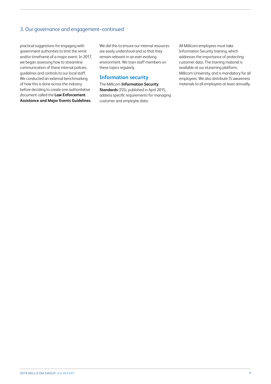# 3. Our governance and engagement–continued

practical suggestions for engaging with government authorities to limit the remit and/or timeframe of a major event. In 2017, we began assessing how to streamline communication of these internal policies, guidelines and controls to our local staff. We conducted an external benchmarking of how this is done across the industry before deciding to create one authoritative document called the **Law Enforcement Assistance and Major Events Guidelines**.

We did this to ensure our internal resources are easily understood and so that they remain relevant in an ever-evolving environment. We train staff members on these topics regularly.

#### **Information security**

The Millicom **Information Security Standards** (ISS), published in April 2015, address specific requirements for managing customer and employee data.

All Millicom employees must take Information Security training, which addresses the importance of protecting customer data. The training material is available at our eLearning platform, Millicom University, and is mandatory for all employees. We also distribute IS awareness materials to all employees at least annually.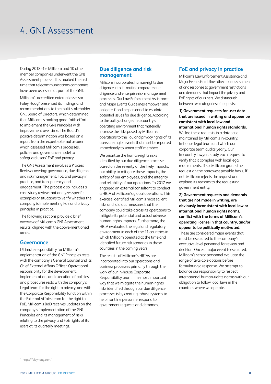# 4. GNI Assessment

During 2018–19, Millicom and 10 other member companies underwent the GNI Assessment process. This marked the first time that telecommunications companies have been assessed as part of the GNI.

Millicom's accredited external assessor Foley Hoag<sup>4</sup> presented its findings and recommendations to the multi-stakeholder GNI Board of Directors, which determined that Millicom is making good-faith efforts to implement the GNI Principles with improvement over time. The Board's positive determination was based on a report from the expert external assurer which assessed Millicom's processes, policies and governance model to safeguard users' FoE and privacy.

The GNI Assessment involves a Process Review covering: governance, due diligence and risk management, FoE and privacy in practice, and transparency and engagement. The process also includes a case study review that analyzes specific examples or situations to verify whether the company is implementing FoE and privacy principles in practice.

The following sections provide a brief overview of Millicom's GNI Assessment results, aligned with the above-mentioned areas.

#### **Governance**

Ultimate responsibility for Millicom's implementation of the GNI Principles rests with the company's General Counsel and its Chief External Affairs Officer. Operational responsibility for the development, implementation, and execution of policies and procedures rests with the company's Legal team for the right to privacy, and with the Corporate Responsibility function within the External Affairs team for the right to FoE. Millicom's BoD receives updates on the company's implementation of the GNI Principles and its management of risks relating to the privacy and FoE rights of its users at its quarterly meetings.

#### **Due diligence and risk management**

Millicom incorporates human-rights due diligence into its routine corporate due diligence and enterprise risk management processes. Our Law Enforcement Assistance and Major Events Guidelines empower, and obligate, frontline personnel to escalate potential issues for due diligence. According to the policy, changes in a country's operating environment that materially increase the risks posed by Millicom's operations to the FoE and privacy rights of its users are major events that must be reported immediately to senior staff members.

We prioritize the human-rights risks identified by our due diligence processes based on the severity of the likely impacts, our ability to mitigate those impacts, the safety of our employees, and the integrity and reliability of our operations. In 2017, we engaged an external consultant to conduct a HRIA of Millicom's global operations. This exercise identified Millicom's most salient risks and laid out measures that the company could take across its operations to mitigate its potential and actual adverse human-rights impacts. Furthermore, the HRIA evaluated the legal and regulatory environment in each of the 11 countries in which Millicom operated at the time and identified future risk scenarios in those countries in the coming years.

The results of Millicom's HRIAs are incorporated into our operations and business processes primarily through the work of our in-house Corporate Responsibility team. The most important way that we mitigate the human-rights risks identified through our due diligence processes is by creating robust systems to help frontline personnel respond to government requests and demands.

### **FoE and privacy in practice**

Millicom's Law Enforcement Assistance and Major Events Guidelines direct our assessment of and response to government restrictions and demands that impact the privacy and FoE rights of our users. We distinguish between two categories of requests:

**1) Government requests for user data that are issued in writing and appear be consistent with local law and international human rights standards.** We log these requests in a database maintained by Millicom's in-country, in-house legal team and which our corporate team audits yearly. Our in-country lawyers study each request to verify that it complies with local legal requirements. If so, Millicom grants the request on the narrowest possible basis. If not, Millicom rejects the request and explains its reasons to the requesting government entity.

**2) Government requests and demands that are not made in writing, are obviously inconsistent with local law or international human rights norms, conflict with the terms of Millicom's operating license in that country, and/or appear to be politically motivated.** These are considered major events that must be escalated to the company's executive-level personnel for review and decision. Once a major event is escalated, Millicom's senior personnel evaluate the range of available options before formulating a response. We attempt to balance our responsibility to respect international human-rights norms with our obligation to follow local laws in the countries where we operate.

<sup>4</sup> <https://foleyhoag.com/>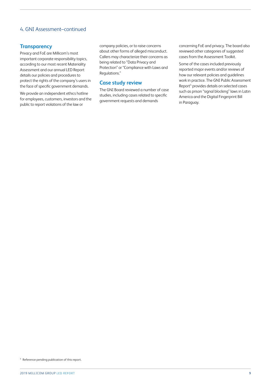### 4. GNI Assessment–continued

#### **Transparency**

Privacy and FoE are Millicom's most important corporate responsibility topics, according to our most recent Materiality Assessment and our annual LED Report details our policies and procedures to protect the rights of the company's users in the face of specific government demands.

We provide an independent ethics hotline for employees, customers, investors and the public to report violations of the law or

company policies, or to raise concerns about other forms of alleged misconduct. Callers may characterize their concerns as being related to "Data Privacy and Protection" or "Compliance with Laws and Regulations."

#### **Case study review**

The GNI Board reviewed a number of case studies, including cases related to specific government requests and demands

concerning FoE and privacy. The board also reviewed other categories of suggested cases from the Assessment Toolkit.

Some of the cases included previously reported major events and/or reviews of how our relevant policies and guidelines work in practice. The GNI Public Assessment Report<sup>5</sup> provides details on selected cases such as prison "signal blocking" laws in Latin America and the Digital Fingerprint Bill in Paraguay.

<sup>5</sup> Reference pending publication of this report.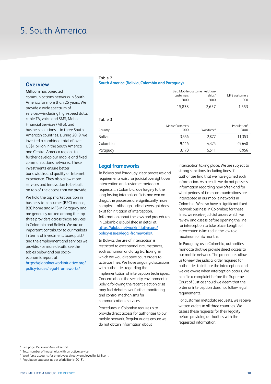# 5. South America

#### **Overview**

Millicom has operated communications networks in South America for more than 25 years. We provide a wide spectrum of services—including high-speed data, cable TV, voice and SMS, Mobile Financial Services (MFS), and business solutions—in three South American countries. During 2019, we invested a combined total of over US\$1 billion in the South America and Central America regions to further develop our mobile and fixed communications networks. These investments ensure better bandwidths and quality of Internet experience. They also allow more services and innovation to be built on top of the access that we provide.

We hold the top market position in business-to-consumer (B2C) mobile, B2C home and MFS in Paraguay and are generally ranked among the top three providers across those services in Colombia and Bolivia. We are an important contributor to our markets in terms of investment, taxes paid,<sup>6</sup> and the employment and services we provide. For more details, see the tables below and our socioeconomic report at [https://globalnetworkinitiative.org/](https://globalnetworkinitiative.org/policy-issues/legal-frameworks/) [policy-issues/legal-frameworks/](https://globalnetworkinitiative.org/policy-issues/legal-frameworks/).

#### Table 2 **South America (Bolivia, Colombia and Paraguay)**

|                   | <b>B2C Mobile Customer Relation-</b> |                        |
|-------------------|--------------------------------------|------------------------|
| customers<br>000' | ships <sup>7</sup><br>000'           | MFS customers<br>'000' |
| 15.838            | 2.657                                | 1.553                  |

#### Table 3

| Country  | Mobile Customers<br>'000' | Workforce <sup>8</sup> | Population <sup>9</sup><br>'000 |
|----------|---------------------------|------------------------|---------------------------------|
| Bolivia  | 3.554                     | 2.877                  | 11,353                          |
| Colombia | 9.114                     | 4.325                  | 49,648                          |
| Paraguay | 3.170                     | 5.511                  | 6,956                           |

#### **Legal frameworks**

In Bolivia and Paraguay, clear processes and requirements exist for judicial oversight over interception and customer metadata requests. In Colombia, due largely to the long-lasting internal conflicts and war on drugs, the processes are significantly more complex—although judicial oversight does exist for initiation of interception. Information about the laws and procedures in Colombia is published in detail at [https://globalnetworkinitiative.org/](https://globalnetworkinitiative.org/
policy-issues/legal-frameworks/.) [policy-issues/legal-frameworks/](https://globalnetworkinitiative.org/
policy-issues/legal-frameworks/.).

In Bolivia, the use of interception is restricted to exceptional circumstances, such as human and drug trafficking, in which we would receive court orders to activate lines. We have ongoing discussions with authorities regarding the implementation of interception techniques. Concern about the security environment in Bolivia following the recent election crisis may fuel debate over further monitoring and control mechanisms for communications services.

Procedures in Colombia require us to provide direct access for authorities to our mobile network. Regular audits ensure we do not obtain information about

interception taking place. We are subject to strong sanctions, including fines, if authorities find that we have gained such information. As a result, we do not possess information regarding how often and for what periods of time communications are intercepted in our mobile networks in Colombia. We also have a significant fixednetwork business in Colombia; for these lines, we receive judicial orders which we review and assess before opening the line for interception to take place. Length of interception is limited in the law to a maximum of six months.

In Paraguay, as in Colombia, authorities mandate that we provide direct access to our mobile network. The procedures allow us to view the judicial order required for authorities to initiate the interception, and we are aware when interception occurs. We can file a complaint before the Supreme Court of Justice should we deem that the order or interception does not follow legal requirements.

For customer metadata requests, we receive written orders in all three countries. We assess these requests for their legality before providing authorities with the requested information.

<sup>6</sup> See page 159 in our Annual Report.

- <sup>7</sup> Total number of households with an active service.
- <sup>8</sup> Workforce accounts for employees directly employed by Millicom.

<sup>9</sup> Population statistics as per World Bank (2018).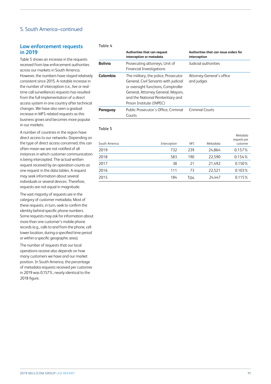### 5. South America–continued

#### **Law enforcement requests in 2019**

Table 5 shows an increase in the requests received from law enforcement authorities across our markets in South America. However, the numbers have stayed relatively consistent since 2015. A notable increase in the number of interception (i.e., live or realtime call surveillance) requests has resulted from the full implementation of a direct access system in one country after technical changes. We have also seen a gradual increase in MFS-related requests as this business grows and becomes more popular in our markets.

A number of countries in the region have direct access to our networks. Depending on the type of direct access concerned, this can often mean we are not notified of all instances in which customer communication is being intercepted. The actual written request received by an operation counts as one request in the data tables. A request may seek information about several individuals or several devices. Therefore, requests are not equal in magnitude.

The vast majority of requests are in the category of customer metadata. Most of these requests, in turn, seek to confirm the identity behind specific phone numbers. Some requests may ask for information about more than one customer's mobile phone records (e.g., calls to and from the phone, cell tower location, during a specified time period or within a specific geographic area).

The number of requests that our local operations receive also depends on how many customers we have and our market position. In South America, the percentage of metadata requests received per customer in 2019 was 0.157%, nearly identical to the 2018 figure.

#### Table 4

|                | Authorities that can request<br>interception or metadata                                                                                                                                                                    | Authorities that can issue orders for<br>interception |
|----------------|-----------------------------------------------------------------------------------------------------------------------------------------------------------------------------------------------------------------------------|-------------------------------------------------------|
| <b>Bolivia</b> | Prosecuting attorneys, Unit of<br>Financial Investigations                                                                                                                                                                  | Judicial authorities                                  |
| Colombia       | The military, the police, Prosecutor<br>General, Civil Servants with judicial<br>or oversight functions, Comptroller<br>General, Attorney General, Mayors,<br>and the National Penitentiary and<br>Prison Institute (INPEC) | Attorney-General's office<br>and judges               |
| Paraguay       | Public Prosecutor's Office, Criminal<br>Courts                                                                                                                                                                              | <b>Criminal Courts</b>                                |

#### Table 5

| South America | Interception | <b>MFS</b> | Metadata | Metadata<br>requests per<br>customer |
|---------------|--------------|------------|----------|--------------------------------------|
| 2019          | 732          | 239        | 24.864   | 0.157%                               |
| 2018          | 583          | 190        | 22,590   | $0.154\%$                            |
| 2017          | 38           | 21         | 21,492   | 0.150%                               |
| 2016          | 111          | 73         | 22,521   | $0.103\%$                            |
| 2015          | 184          | 104        | 24,447   | 0.115%                               |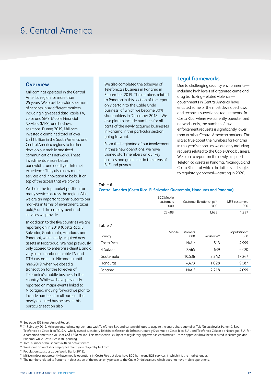# 6. Central America

#### **Overview**

Millicom has operated in the Central America region for more than 25 years. We provide a wide spectrum of services in six different markets including high-speed data, cable TV, voice and SMS, Mobile Financial Services (MFS), and business solutions. During 2019, Millicom invested a combined total of over US\$1 billion in the South America and Central America regions to further develop our mobile and fixed communications networks. These investments ensure better bandwidths and quality of Internet experience. They also allow more services and innovation to be built on top of the access that we provide.

We hold the top market position for many services across the region. Also, we are an important contributor to our markets in terms of investment, taxes paid,10 and the employment and services we provide.

In addition to the five countries we are reporting on in 2019 (Costa Rica, El Salvador, Guatemala, Honduras and Panama), we recently acquired new assets in Nicaragua. We had previously only catered to enterprise clients, and a very small number of cable TV and DTH customers in Nicaragua until mid-2019, when we closed a transaction for the takeover of Telefonica's mobile business in the country. While we have previously reported on major events linked to Nicaragua, moving forward we plan to include numbers for all parts of the newly acquired businesses in this particular section also.

We also completed the takeover of Telefonica's business in Panama in September 2019. The numbers related to Panama in this section of the report only pertain to the Cable Onda business, of which we became 80% shareholders in December 2018.11 We also plan to include numbers for all parts of the newly acquired businesses in Panama in this particular section going forward.

From the beginning of our involvement in these new operations, we have trained staff members on our key policies and guidelines in the areas of FoE and privacy.

### **Legal frameworks**

Due to challenging security environments including high levels of organized crime and drug trafficking–related violence governments in Central America have enacted some of the most-developed laws and technical surveillance requirements. In Costa Rica, where we currently operate fixed networks only, the number of law enforcement requests is significantly lower than in other Central American markets. This is also true about the numbers for Panama in this year's report, as we are only including requests related to the Cable Onda business. We plan to report on the newly acquired Telefonica assets in Panama, Nicaragua and Costa Rica—of which the latter is still subject to regulatory approval—starting in 2020.

#### Table 6

**Central America (Costa Rica, El Salvador, Guatemala, Honduras and Panama)**

| <b>B2C Mobile</b><br>customers<br>'000 | Customer Relationships <sup>12</sup><br>'000' | MFS customers<br>'000 |
|----------------------------------------|-----------------------------------------------|-----------------------|
| 22.488                                 | 1.683                                         | 1.997                 |

#### Table 7

| Country     | Mobile Customers<br>'000 | Workforce <sup>13</sup> | Population <sup>14</sup><br>'000 |
|-------------|--------------------------|-------------------------|----------------------------------|
| Costa Rica  | N/A <sup>15</sup>        | 513                     | 4,999                            |
| El Salvador | 2.465                    | 639                     | 6,420                            |
| Guatemala   | 10.536                   | 3.342                   | 17.247                           |
| Honduras    | 4.473                    | 1.028                   | 9,587                            |
| Panama      | $N/A^{16}$               | 2.218                   | 4.099                            |

<sup>16</sup> The numbers related to Panama in this section of the report only pertain to the Cable Onda business, which does not have mobile operations.

<sup>10</sup> See page 159 in our Annual Report.

<sup>11</sup> In February 2019, Millicom entered into agreements with Telefónica S.A. and certain affiliates to acquire the entire share capital of Telefónica Móviles Panamá, S.A., Telefónica de Costa Rica TC, S.A., wholly owned subsidiary Telefónica Gestión de Infraestructura y Sistemas de Costa Rica, S.A., and Telefoníca Celular de Nicaragua, S.A. for a combined enterprise value of US\$1,650 million. This transaction is subject to regulatory approvals in each market – these approvals have been secured in Nicaragua and Panama, while Costa Rica is still pending.

<sup>12</sup> Total number of households with an active service.

<sup>13</sup> Workforce accounts for employees directly employed by Millicom.

<sup>14</sup> Population statistics as per World Bank (2018).

<sup>&</sup>lt;sup>15</sup> Millicom does not presently have mobile operations in Costa Rica but does have B2C home and B2B services, in which it is the market leader.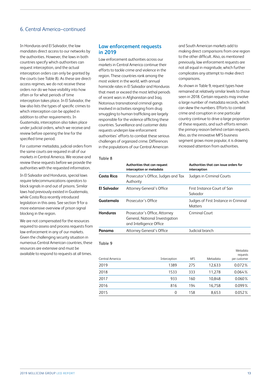### 6. Central America–continued

In Honduras and El Salvador, the law mandates direct access to our networks by the authorities. However, the laws in both countries specify which authorities can request interception, and the actual interception orders can only be granted by the courts (see Table 8). As these are directaccess regimes, we do not receive these orders nor do we have visibility into how often or for what periods of time interception takes place. In El Salvador, the law also lists the types of specific crimes to which interception can be applied in addition to other requirements. In Guatemala, interception also takes place under judicial orders, which we receive and review before opening the line for the specified time period.

For customer metadata, judicial orders from the same courts are required in all of our markets in Central America. We receive and review these requests before we provide the authorities with the requested information.

In El Salvador and Honduras, special laws require telecommunications operators to block signals in and out of prisons. Similar laws had previously existed in Guatemala, while Costa Rica recently introduced legislation in this area. See section 9 for a more extensive overview of prison signal blocking in the region.

We are not compensated for the resources required to assess and process requests from law enforcement in any of our markets. Given the challenging security situation in numerous Central American countries, these resources are extensive and must be available to respond to requests at all times.

#### **Law enforcement requests in 2019**

Law enforcement authorities across our markets in Central America continue their efforts to tackle crime and violence in the region. These countries rank among the most violent in the world, with annual homicide rates in El Salvador and Honduras that meet or exceed the most lethal periods of recent wars in Afghanistan and Iraq. Notorious transnational criminal gangs involved in activities ranging from drug smuggling to human trafficking are largely responsible for the violence afflicting these countries. Surveillance and customer data requests underpin law enforcement authorities' efforts to combat these serious challenges of organized crime. Differences in the populations of our Central American

and South American markets add to making direct comparisons from one region to the other difficult. Also, as mentioned previously, law enforcement requests are not all equal in magnitude, which further complicates any attempt to make direct comparisons.

As shown in Table 9, request types have remained at relatively similar levels to those seen in 2018. Certain requests may involve a large number of metadata records, which can skew the numbers. Efforts to combat crime and corruption in one particular country continue to drive a large proportion of these requests, and such efforts remain the primary reason behind certain requests. Also, as the innovative MFS business segment grows more popular, it is drawing increased attention from authorities.

#### Table 8

|             | Authorities that can request<br>interception or metadata                                    | Authorities that can issue orders for<br>interception  |
|-------------|---------------------------------------------------------------------------------------------|--------------------------------------------------------|
| Costa Rica  | Prosecutor's Office, Judges and Tax<br>Authority                                            | Judges in Criminal Courts                              |
| El Salvador | Attorney General's Office                                                                   | First Instance Court of San<br>Salvador                |
| Guatemala   | Prosecutor's Office                                                                         | Judges of First Instance in Criminal<br><b>Matters</b> |
| Honduras    | Prosecutor's Office, Attorney<br>General, National Investigation<br>and Intelligence Office | Criminal Court                                         |
| Panama      | Attorney General's Office                                                                   | Judicial branch                                        |

#### Table 9

| Central America | Interception | <b>MFS</b> | Metadata | Metadata<br>requests<br>per customer |
|-----------------|--------------|------------|----------|--------------------------------------|
| 2019            | 1389         | 275        | 12.633   | 0.072%                               |
| 2018            | 1533         | 333        | 11,278   | $0.064\%$                            |
| 2017            | 933          | 160        | 10.848   | $0.060\%$                            |
| 2016            | 816          | 194        | 16.758   | 0.099%                               |
| 2015            | 0            | 158        | 8,653    | 0.052%                               |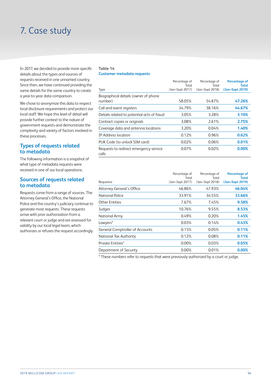# 7. Case study

In 2017, we decided to provide more specific details about the types and sources of requests received in one unnamed country. Since then, we have continued providing the same details for the same country to create a year-to-year data comparison.

We chose to anonymize this data to respect local disclosure requirements and protect our local staff. We hope this level of detail will provide further context to the nature of government requests and demonstrate the complexity and variety of factors involved in these processes.

### **Types of requests related to metadata**

The following information is a snapshot of what type of metadata requests were received in one of our local operations.

### **Sources of requests related to metadata**

Requests come from a range of sources. The Attorney General's Office, the National Police and the country's judiciary continue to generate most requests. These requests arrive with prior authorization from a relevant court or judge and are assessed for validity by our local legal team, which authorizes or refuses the request accordingly.

#### Table 14 **Customer metadata requests**

|                                                 | Percentage of<br>Total | Percentage of<br>Total | Percentage of<br><b>Total</b> |
|-------------------------------------------------|------------------------|------------------------|-------------------------------|
| Type                                            | (Jan-Sept 2017)        | (Jan-Sept 2018)        | (Jan-Sept 2019)               |
| Biographical details (owner of phone<br>number) | 58.05%                 | 54.87%                 | 47.26%                        |
| Call and event registers                        | 34.79%                 | 38.16%                 | 44.67%                        |
| Details related to potential acts of fraud      | 3.05%                  | 3.28%                  | 3.10%                         |
| Contract copies or originals                    | 3.08%                  | 2.61%                  | 2.75%                         |
| Coverage data and antenna locations             | 3.20%                  | 0.04%                  | 1.40%                         |
| IP Address location                             | 0.12%                  | 0.96%                  | 0.62%                         |
| PUK Code (to unlock SIM card)                   | 0.02%                  | 0.06%                  | 0.01%                         |
| Requests to redirect emergency service<br>calls | 0.07%                  | 0.02%                  | 0.00%                         |

| Requestor                              | Percentage of<br>Total<br>(Jan-Sept 2017) | Percentage of<br>Total<br>(Jan–Sept 2018) | Percentage of<br><b>Total</b><br>(Jan-Sept 2019) |
|----------------------------------------|-------------------------------------------|-------------------------------------------|--------------------------------------------------|
| Attorney General's Office              | 46.86%                                    | 47.93%                                    | 46.04%                                           |
| National Police                        | 33.91%                                    | 34.55%                                    | 33.66%                                           |
| <b>Other Entities</b>                  | 7.67%                                     | 7.45%                                     | 9.58%                                            |
| Judges                                 | 10.76%                                    | 9.55%                                     | 8.53%                                            |
| National Army                          | 0.49%                                     | 0.20%                                     | 1.45%                                            |
| Lawyers*                               | 0.03%                                     | 0.14%                                     | 0.43%                                            |
| <b>General Comptroller of Accounts</b> | 0.15%                                     | 0.05%                                     | 0.11%                                            |
| National Tax Authority                 | 0.12%                                     | 0.08%                                     | 0.11%                                            |
| Private Entities*                      | $0.00\%$                                  | 0.03%                                     | 0.05%                                            |
| Department of Security                 | 0.00%                                     | 0.01%                                     | 0.00%                                            |
|                                        |                                           |                                           |                                                  |

\* These numbers refer to requests that were previously authorized by a court or judge.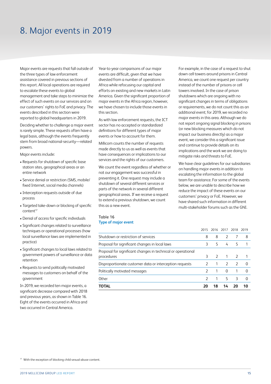# 8. Major events in 2019

Major events are requests that fall outside of the three types of law enforcement assistance covered in previous sections of this report. All local operations are required to escalate these events to global management and take steps to minimize the effect of such events on our services and on our customers' rights to FoE and privacy. The events described in this section were reported to global headquarters in 2019.

Deciding whether to challenge a major event is rarely simple. These requests often have a legal basis, although the events frequently stem from broad national-security—related powers.

Major events include:

- Requests for shutdown of specific base station sites, geographical areas or an entire network
- Service denial or restriction (SMS, mobile/ fixed Internet, social media channels)
- Interception requests outside of due process
- Targeted take-down or blocking of specific content<sup>17</sup>
- Denial of access for specific individuals
- Significant changes related to surveillance techniques or operational processes (how local surveillance laws are implemented in practice)
- Significant changes to local laws related to government powers of surveillance or data retention
- Requests to send politically motivated messages to customers on behalf of the government

In 2019, we recorded ten major events, a significant decrease compared with 2018 and previous years, as shown in Table 16. Eight of the events occurred in Africa and two occurred in Central America.

Year-to-year comparisons of our major events are difficult, given that we have divested from a number of operations in Africa while refocusing our capital and efforts on existing and new markets in Latin America. Given the significant proportion of major events in the Africa region, however, we have chosen to include those events in this section.

As with law enforcement requests, the ICT sector has no accepted or standardized definitions for different types of major events or how to account for them.

Millicom counts the number of requests made directly to us as well as events that have consequences or implications to our services and the rights of our customers.

We count the event regardless of whether or not our engagement was successful in preventing it. One request may include a shutdown of several different services or parts of the network in several different geographical areas. If we receive a request to extend a previous shutdown, we count this as a new event.

For example, in the case of a request to shut down cell towers around prisons in Central America, we count one request per country instead of the number of prisons or cell towers involved. In the case of prison shutdowns which are ongoing with no significant changes in terms of obligations or requirements, we do not count this as an additional event; for 2019, we recorded no major events in this area. Although we do not report ongoing signal blocking in prisons (or new blocking measures which do not impact our business directly) as a major event, we consider this a significant issue and continue to provide details on its implications and the work we are doing to mitigate risks and threats to FoE.

We have clear guidelines for our subsidiaries on handling major events in addition to escalating the information to the global team for assistance. For some of the events below, we are unable to describe how we reduce the impact of these events on our customers' privacy or FoE. However, we have shared such information in different multi-stakeholder forums such as the GNI.

# Table 16

**Type of major event**

| ΤΩΤΑΙ                                                                      | 20            | 18             |          |               |          |
|----------------------------------------------------------------------------|---------------|----------------|----------|---------------|----------|
| Other                                                                      | C             | 1              | 5        | 3             | ∩        |
| Politically motivated messages                                             | $\mathcal{D}$ | 1              | $\Omega$ | 1             | $\Omega$ |
| Disproportionate customer data or interception requests                    |               | $\overline{1}$ | 2        | $\mathcal{L}$ | $\Omega$ |
| Proposal for significant changes in technical or operational<br>procedures | 3             | $\mathcal{L}$  |          | $1 \quad 2$   |          |
| Proposal for significant changes in local laws                             | ς             | 5              | 4        | 5             |          |
| Shutdown or restriction of services                                        | 8             | 8              |          |               | 8        |
|                                                                            | 2015          | 2016           |          | 2017 2018     | 2019     |

<sup>17</sup> With the exception of blocking child sexual abuse content.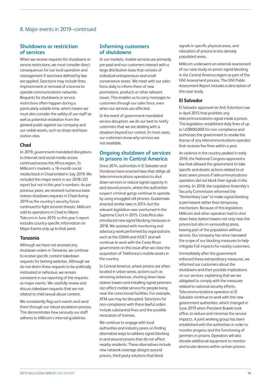#### 8. Major events in 2019–continued

#### **Shutdowns or restriction of services**

When we receive requests for shutdowns or service restrictions, we must consider direct consequences for our local operation and management if sanctions defined by law are applied. Sanctions may include fines, imprisonment or removal of a license to operate communications networks. Requests for shutdowns or service restrictions often happen during a particularly volatile time, which means we must also consider the safety of our staff as well as potential retaliation from the general public against our company and our visible assets, such as shops and base station sites.

#### **Chad**

In 2019, government-mandated disruptions to Internet and social media access continued across the Africa region. In Millicom's markets, a 16-month social media block in Chad ended in July 2019. We included this major event in our 2018 LED report but not in this year's numbers. As per previous years, we received numerous base station shutdown requests in Chad during 2019 as the country's security forces continued to fight terrorist threats. Millicom sold its operations in Chad to Maroc Telecom in June 2019, so this year's report includes country-specific information on Major Events only up to that point.

#### **Tanzania**

Although we have not received any shutdown orders in Tanzania, we continue to receive specific content takedown requests for betting websites. Although we do not deem these requests to be politically motivated or nefarious, we remain consistent in our reporting of the requests as major events. We carefully review and discuss takedown requests that are not related to child sexual abuse content.

We consistently flag such events and send them through our robust escalation process. This demonstrates how seriously our staff adheres to Millicom's internal guidelines.

#### **Informing customers of shutdowns**

In our markets, mobile services are primarily pre-paid and our customers interact with a large distribution base that consists of individual entrepreneurs and small convenience stores. We meet with our sales force daily to inform them of new promotions, products or other relevant issues. This enables us to carry messages to customers through our sales force, even when our services are affected.

In the event of government-mandated service disruption, we do our best to notify customers that we are dealing with a situation beyond our control. In most cases, our customers know why services are not available.

#### **Ongoing shutdown of services in prisons in Central America**

Since 2014, authorities in El Salvador and Honduras have enacted laws that oblige all telecommunications operators to shut down services or reduce signal capacity in and around prisons, where the authorities suspect criminal gangs continue to operate by using smuggled cell phones. Guatemala enacted similar laws in 2014, but the relevant legislation was overturned in the Supreme Court in 2015. Costa Rica also introduced new signal blocking measures in 2018. We assisted with monitoring and advocacy work performed by organizations such as the GSMA and ASIET and will continue to work with the Costa Rican government on this issue after we close the acquisition of Telefonica's mobile assets in the country.

In Central America, where prisons are often located in urban areas, actions such as removing antennas, shutting down base station towers and installing signal jammers can affect mobile service for people living near the correctional facilities. For example, ATM use may be disrupted. Sanctions for non-compliance with these lawful orders include substantial fines and the possible revocation of licenses.

We continue to engage with local authorities and industry peers on finding alternative ways to address signal blocking in and around prisons that do not affect nearby residents. These alternatives include new network coverage designs around prisons, third-party solutions that block

signals in specific physical areas, and relocation of prisons to less densely populated areas.

Millicom underwent an external assessment of our case study on prison signal blocking in the Central America region as part of the GNI Assessment process. The GNI Public Assessment Report includes a description of this case study.

#### **El Salvador**

El Salvador approved an Anti-Extortion Law in April 2015 that prohibits any telecommunications signal inside a prison. This legislation established daily fines of up to US\$900,000 for non-compliance and authorizes the government to revoke the license of any telecommunications operator that receives five fines within a year.

As violence in the country peaked in early 2016, the National Congress approved a law that allowed the government to take specific and drastic actions related to at least seven prisons if telecommunications operators did not block their signals in the vicinity. In 2018, the Legislative Assembly's Security Commission reformed the "Penitentiary Law" to make signal blocking a permanent rather than temporary mechanism. Because of this legislation, Millicom and other operators had to shut down base station towers not only near the prisons but also in surrounding areas, leaving part of the population without service. Our company has since narrowed the scope of our blocking measures to help mitigate FoE impacts for nearby customers.

Immediately after the government enforced these extraordinary measures, we informed our customers about the shutdowns and their possible implications on our services, explaining that we are obligated to comply with the measures related to national security efforts. Telecommunications operators in El Salvador continue to work with the new government authorities, which changed in June 2019 when President Bukele took office, to reduce and minimize the service impacts. A joint working group has been established with the authorities in order to monitor progress and the functioning of jammers in prisons. Operators will also donate additional equipment to monitor and locate devices within certain prisons.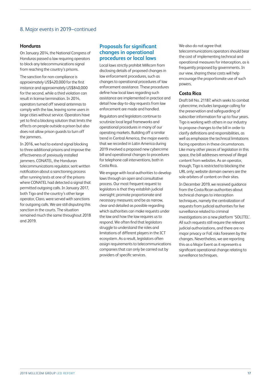# 8. Major events in 2019–continued

#### **Honduras**

On January 2014, the National Congress of Honduras passed a law requiring operators to block any telecommunications signal from reaching the country's prisons.

The sanction for non-compliance is approximately US\$420,000 for the first instance and approximately US\$840,000 for the second, while a third violation can result in license termination. In 2014, operators turned off several antennas to comply with the law, leaving some users in large cities without service. Operators have yet to find a blocking solution that limits the effects on people outside a prison but also does not allow prison guards to turn off the jammers.

In 2016, we had to extend signal blocking to three additional prisons and improve the effectiveness of previously installed jammers. CONATEL, the Honduran telecommunications regulator, sent written notification about a sanctioning process after running tests at one of the prisons where CONATEL had detected a signal that permitted outgoing calls. In January 2017, both Tigo and the country's other large operator, Claro, were served with sanctions for outgoing calls. We are still disputing this sanction in the courts. The situation remained much the same throughout 2018 and 2019.

#### **Proposals for significant changes in operational procedures or local laws**

Local laws strictly prohibit Millicom from disclosing details of proposed changes in law enforcement procedures, such as changes to operational procedures of law enforcement assistance. These procedures define how local laws regarding such assistance are implemented in practice and detail how day-to-day requests from law enforcement are made and handled.

Regulators and legislators continue to scrutinize local legal frameworks and operational procedures in many of our operating markets. Building off a similar trend in Central America, the major events that we recorded in Latin America during 2019 involved a proposed new cybercrime bill and operational changes to procedures for telephone call interventions, both in Costa Rica.

We engage with local authorities to develop laws through an open and consultative process. Our most frequent request to legislators is that they establish judicial oversight; promote proportionate and necessary measures; and be as narrow, clear and detailed as possible regarding which authorities can make requests under the law and how the law requires us to respond. We often find that legislators struggle to understand the roles and limitations of different players in the ICT ecosystem. As a result, legislators often assign requirements to telecommunications companies that can only be carried out by providers of specific services.

We also do not agree that telecommunications operators should bear the cost of implementing technical and operational measures for interception, as is frequently proposed by governments. In our view, sharing these costs will help encourage the proportionate use of such powers.

#### **Costa Rica**

Draft bill No. 21187, which seeks to combat cybercrime, includes language calling for the preservation and safeguarding of subscriber information for up to four years. Tigo is working with others in our industry to propose changes to the bill in order to clarify definitions and responsibilities, as well as emphasize the technical limitations facing operators in these circumstances. Like many other pieces of legislation in this space, the bill addresses removal of illegal content from websites. As an operator, though, Tigo is restricted to blocking the URL only; website domain owners are the sole arbiters of content on their sites.

In December 2019, we received guidance from the Costa Rican authorities about technical changes to interception techniques, namely the centralization of requests from judicial authorities for live surveillance related to criminal investigations on a new platform 'SOLITEL'. All such requests still require the relevant judicial authorizations, and there are no major privacy or FoE risks foreseen by the changes. Nevertheless, we are reporting this as a Major Event as it represents a significant operational change relating to surveillance techniques.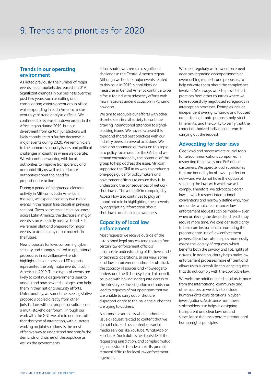# **Trends in our operating environment**

As noted previously, the number of major events in our markets decreased in 2019. Significant changes in our business over the past few years, such as exiting and consolidating various operations in Africa while expanding in Latin America, make year-to-year trend analysis difficult. We continued to receive shutdown orders in the Africa region during 2019, but our divestment from certain jurisdictions will likely contribute to a further decrease in major events during 2020. We remain alert to the numerous security issues and political challenges in countries where we operate. We will continue working with local authorities to improve transparency and accountability as well as to educate authorities about the need for proportionate action.

During a period of heightened electoral activity in Millicom's Latin American markets, we experienced only two major events in the region (see details in previous section). Given some recent election unrest across Latin America, the decrease in major events is an especially positive trend. Still, we remain alert and prepared for major events to occur in any of our markets in the future.

New proposals for laws concerning cyber security and changes related to operational procedures in surveillance—trends highlighted in our previous LED reports represented the only major events in Latin America in 2019. These types of events are likely to continue as governments seek to understand how new technologies can help them in their national security efforts. Unfortunately, we sometimes see legislative proposals copied directly from other jurisdictions without proper consultation in a multi-stakeholder forum. Through our work with the GNI, we aim to demonstrate that this type of interaction, with all actors working on joint solutions, is the most effective way to understand and satisfy the demands and wishes of the populace as well as the governments.

Prison shutdowns remain a significant challenge in the Central America region. Although we had no major events related to this issue in 2019, signal-blocking measures in Central America continue to be a focus for industry advocacy efforts with new measures under discussion in Panama now also.

We aim to redouble our efforts with other stakeholders in civil society to continue drawing international attention to signalblocking issues. We have discussed this topic and shared best practices with our industry peers on several occasions. We have also continued our work on this topic as a policy focus area for the GNI, and we remain encouraged by the potential of this group to help address the issue. Millicom supported the GNI in its work to produce a one-page guide for policymakers and government officials to ensure they fully understand the consequences of network shutdowns. The #KeepItOn campaign by Access Now also continues to play an important role in highlighting these events by aggregating information about shutdowns and building awareness.

# **Capacity of local law enforcement**

Most requests we receive outside of the established legal process tend to stem from certain law enforcement officials' incomplete understanding of the laws and / or technical operations. In our view, some local law enforcement authorities also lack the capacity, resources and knowledge to understand the ICT ecosystem. This deficit, coupled with having inadequate access to the latest cyber-investigation methods, can lead to requests of our operations that we are unable to carry out or that are disproportionate to the issue the authorities are trying to address.

A common example is when authorities issue a request related to content that we do not hold, such as content on social media services like YouTube, WhatsApp or Facebook. Such data is held outside of the requesting jurisdiction, and complex mutual legal assistance treaties make its prompt retrieval difficult for local law enforcement agencies.

We meet regularly with law enforcement agencies regarding disproportionate or overreaching requests and proposals, to help educate them about the complexities involved. We always work to provide best practices from other countries where we have successfully negotiated safeguards in interception processes. Examples include independent oversight, narrow and focused orders for legitimate purposes only, strict time limits, and the ability to verify that the correct authorized individual or team is carrying out the request.

# **Advocating for clear laws**

Clear laws and processes are crucial tools for telecommunications companies in respecting the privacy and FoE of our customers. We operate local subsidiaries that are bound by local laws—perfect or not—and we do not have the option of selecting the laws with which we will comply. Therefore, we advocate clearer laws—which respect international conventions and narrowly define who, how and under what circumstances law enforcement requests can be made—even when achieving the desired end result may require more time. We consider such clarity to be a core instrument in promoting the proportionate use of law enforcement powers. Clear laws also help us more easily assess the legality of requests, which benefits both the privacy and FoE rights of citizens. In addition, clarity helps make law enforcement processes more efficient and allows us to successfully challenge requests that do not comply with the applicable law.

We welcome additional technical assistance from the international community and other sources as we strive to include human-rights considerations in cyberinvestigations. Assistance from these stakeholders also helps in designing transparent and clear laws around surveillance that incorporate international human-rights principles.